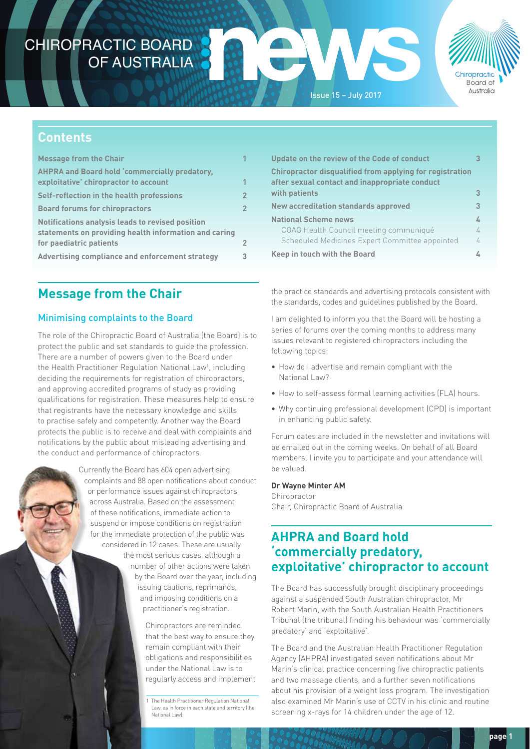# CHIROPRACTIC BOARD OF AUSTRALIA





### **Contents**

| <b>Message from the Chair</b>                                                                             | 1              |
|-----------------------------------------------------------------------------------------------------------|----------------|
| <b>AHPRA and Board hold 'commercially predatory,</b><br>exploitative' chiropractor to account             | $\overline{1}$ |
| Self-reflection in the health professions                                                                 | $\overline{2}$ |
| <b>Board forums for chiropractors</b>                                                                     | $\overline{2}$ |
| Notifications analysis leads to revised position<br>statements on providing health information and caring |                |
| for paediatric patients                                                                                   | $\overline{2}$ |
| Advertising compliance and enforcement strategy                                                           | 3              |

# **Message from the Chair**

### Minimising complaints to the Board

The role of the Chiropractic Board of Australia (the Board) is to protect the public and set standards to guide the profession. There are a number of powers given to the Board under the Health Practitioner Regulation National Law<sup>1</sup>, including deciding the requirements for registration of chiropractors, and approving accredited programs of study as providing qualifications for registration. These measures help to ensure that registrants have the necessary knowledge and skills to practise safely and competently. Another way the Board protects the public is to receive and deal with complaints and notifications by the public about misleading advertising and the conduct and performance of chiropractors.

> Currently the Board has 604 open advertising complaints and 88 open notifications about conduct or performance issues against chiropractors across Australia. Based on the assessment of these notifications, immediate action to suspend or impose conditions on registration for the immediate protection of the public was considered in 12 cases. These are usually the most serious cases, although a number of other actions were taken by the Board over the year, including issuing cautions, reprimands, and imposing conditions on a practitioner's registration.

> > Chiropractors are reminded that the best way to ensure they remain compliant with their obligations and responsibilities under the National Law is to regularly access and implement

1 The Health Practitioner Regulation National Law, as in force in each state and territory (the National Law).

| Update on the review of the Code of conduct                                                                       | 3          |
|-------------------------------------------------------------------------------------------------------------------|------------|
| <b>Chiropractor disqualified from applying for registration</b><br>after sexual contact and inappropriate conduct |            |
| with patients                                                                                                     | 3          |
| New accreditation standards approved                                                                              | 3          |
| <b>National Scheme news</b>                                                                                       | 4          |
| COAG Health Council meeting communiqué                                                                            | 4          |
| Scheduled Medicines Expert Committee appointed                                                                    | $\sqrt{ }$ |
| Keep in touch with the Board                                                                                      |            |

the practice standards and advertising protocols consistent with the standards, codes and guidelines published by the Board.

I am delighted to inform you that the Board will be hosting a series of forums over the coming months to address many issues relevant to registered chiropractors including the following topics:

- How do I advertise and remain compliant with the National Law?
- How to self-assess formal learning activities (FLA) hours.
- Why continuing professional development (CPD) is important in enhancing public safety.

Forum dates are included in the newsletter and invitations will be emailed out in the coming weeks. On behalf of all Board members, I invite you to participate and your attendance will be valued.

#### **Dr Wayne Minter AM**

Chiropractor Chair, Chiropractic Board of Australia

## **AHPRA and Board hold 'commercially predatory, exploitative' chiropractor to account**

The Board has successfully brought disciplinary proceedings against a suspended South Australian chiropractor, Mr Robert Marin, with the South Australian Health Practitioners Tribunal (the tribunal) finding his behaviour was 'commercially predatory' and 'exploitative'.

The Board and the Australian Health Practitioner Regulation Agency (AHPRA) investigated seven notifications about Mr Marin's clinical practice concerning five chiropractic patients and two massage clients, and a further seven notifications about his provision of a weight loss program. The investigation also examined Mr Marin's use of CCTV in his clinic and routine screening x-rays for 14 children under the age of 12.

**page 1**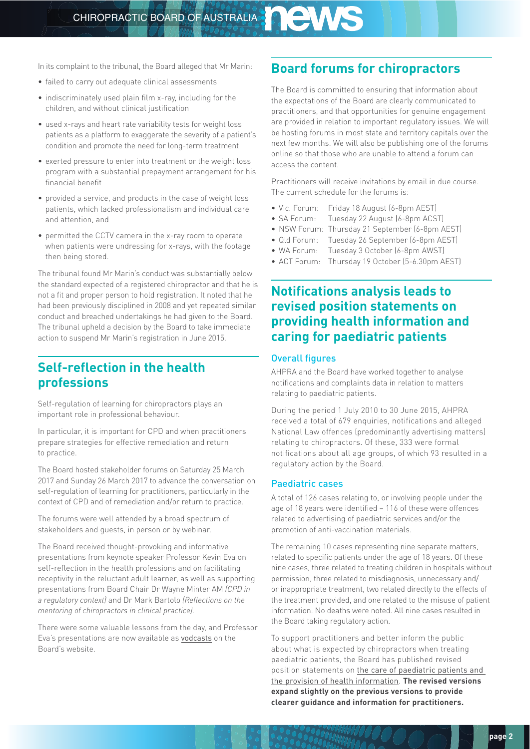<span id="page-1-0"></span>In its complaint to the tribunal, the Board alleged that Mr Marin:

- failed to carry out adequate clinical assessments
- indiscriminately used plain film x-ray, including for the children, and without clinical justification
- used x-rays and heart rate variability tests for weight loss patients as a platform to exaggerate the severity of a patient's condition and promote the need for long-term treatment
- exerted pressure to enter into treatment or the weight loss program with a substantial prepayment arrangement for his financial benefit
- provided a service, and products in the case of weight loss patients, which lacked professionalism and individual care and attention, and
- permitted the CCTV camera in the x-ray room to operate when patients were undressing for x-rays, with the footage then being stored.

The tribunal found Mr Marin's conduct was substantially below the standard expected of a registered chiropractor and that he is not a fit and proper person to hold registration. It noted that he had been previously disciplined in 2008 and yet repeated similar conduct and breached undertakings he had given to the Board. The tribunal upheld a decision by the Board to take immediate action to suspend Mr Marin's registration in June 2015.

## **Self-reflection in the health professions**

Self-regulation of learning for chiropractors plays an important role in professional behaviour.

In particular, it is important for CPD and when practitioners prepare strategies for effective remediation and return to practice.

The Board hosted stakeholder forums on Saturday 25 March 2017 and Sunday 26 March 2017 to advance the conversation on self-regulation of learning for practitioners, particularly in the context of CPD and of remediation and/or return to practice.

The forums were well attended by a broad spectrum of stakeholders and guests, in person or by webinar.

The Board received thought-provoking and informative presentations from keynote speaker Professor Kevin Eva on self-reflection in the health professions and on facilitating receptivity in the reluctant adult learner, as well as supporting presentations from Board Chair Dr Wayne Minter AM *(CPD in a regulatory context)* and Dr Mark Bartolo *(Reflections on the mentoring of chiropractors in clinical practice).*

There were some valuable lessons from the day, and Professor Eva's presentations are now available as [vodcasts](http://www.chiropracticboard.gov.au/News/2017-06-14-vodcasts.aspx) on the Board's website.

### **Board forums for chiropractors**

The Board is committed to ensuring that information about the expectations of the Board are clearly communicated to practitioners, and that opportunities for genuine engagement are provided in relation to important regulatory issues. We will be hosting forums in most state and territory capitals over the next few months. We will also be publishing one of the forums online so that those who are unable to attend a forum can access the content.

Practitioners will receive invitations by email in due course. The current schedule for the forums is:

- Vic. Forum: Friday 18 August (6-8pm AEST)
- SA Forum: Tuesday 22 August (6-8pm ACST)
- NSW Forum: Thursday 21 September (6-8pm AEST)
- Qld Forum: Tuesday 26 September (6-8pm AEST)
- WA Forum: Tuesday 3 October (6-8pm AWST)
- ACT Forum: Thursday 19 October (5-6.30pm AEST)

### **Notifications analysis leads to revised position statements on providing health information and caring for paediatric patients**

#### Overall figures

AHPRA and the Board have worked together to analyse notifications and complaints data in relation to matters relating to paediatric patients.

During the period 1 July 2010 to 30 June 2015, AHPRA received a total of 679 enquiries, notifications and alleged National Law offences (predominantly advertising matters) relating to chiropractors. Of these, 333 were formal notifications about all age groups, of which 93 resulted in a regulatory action by the Board.

#### Paediatric cases

A total of 126 cases relating to, or involving people under the age of 18 years were identified – 116 of these were offences related to advertising of paediatric services and/or the promotion of anti-vaccination materials.

The remaining 10 cases representing nine separate matters, related to specific patients under the age of 18 years. Of these nine cases, three related to treating children in hospitals without permission, three related to misdiagnosis, unnecessary and/ or inappropriate treatment, two related directly to the effects of the treatment provided, and one related to the misuse of patient information. No deaths were noted. All nine cases resulted in the Board taking regulatory action.

To support practitioners and better inform the public about what is expected by chiropractors when treating paediatric patients, the Board has published revised position statements on [the care of paediatric patients and](http://www.chiropracticboard.gov.au/Codes-guidelines/FAQ.aspx)  [the provision of health information](http://www.chiropracticboard.gov.au/Codes-guidelines/FAQ.aspx). **The revised versions expand slightly on the previous versions to provide clearer guidance and information for practitioners.**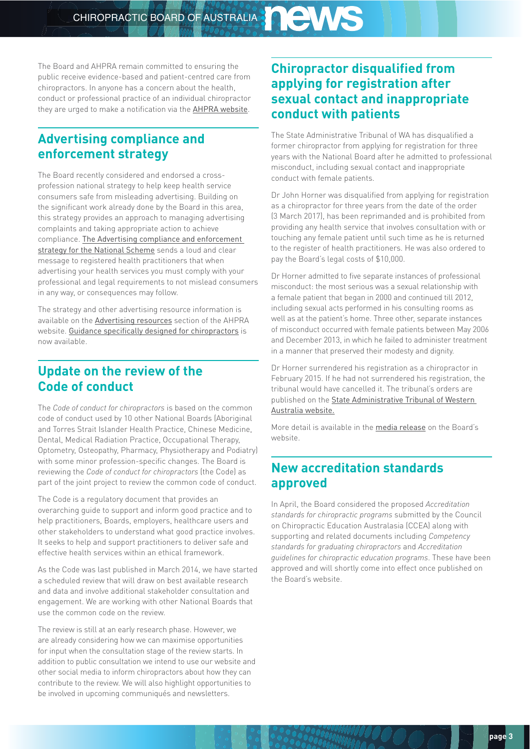<span id="page-2-0"></span>The Board and AHPRA remain committed to ensuring the public receive evidence-based and patient-centred care from chiropractors. In anyone has a concern about the health, conduct or professional practice of an individual chiropractor they are urged to make a notification via the [AHPRA website](http://www.ahpra.gov.au/Notifications/Make-a-complaint.aspx).

## **Advertising compliance and enforcement strategy**

The Board recently considered and endorsed a crossprofession national strategy to help keep health service consumers safe from misleading advertising. Building on the significant work already done by the Board in this area, this strategy provides an approach to managing advertising complaints and taking appropriate action to achieve compliance. [The Advertising compliance and enforcement](http://www.ahpra.gov.au/Publications/Advertising-resources/Legislation-guidelines.aspx)  [strategy for the National Scheme](http://www.ahpra.gov.au/Publications/Advertising-resources/Legislation-guidelines.aspx) sends a loud and clear message to registered health practitioners that when advertising your health services you must comply with your professional and legal requirements to not mislead consumers in any way, or consequences may follow.

The strategy and other advertising resource information is available on the [Advertising resources](http://www.ahpra.gov.au/Publications/Advertising-resources.aspx) section of the AHPRA website. [Guidance specifically designed for chiropractors](http://www.ahpra.gov.au/Publications/Advertising-resources/Check-and-correct/Chiropractic-examples.aspx) is now available.

## **Update on the review of the Code of conduct**

The *Code of conduct for chiropractors* is based on the common code of conduct used by 10 other National Boards (Aboriginal and Torres Strait Islander Health Practice, Chinese Medicine, Dental, Medical Radiation Practice, Occupational Therapy, Optometry, Osteopathy, Pharmacy, Physiotherapy and Podiatry) with some minor profession-specific changes. The Board is reviewing the *Code of conduct for chiropractors* (the Code) as part of the joint project to review the common code of conduct.

The Code is a regulatory document that provides an overarching guide to support and inform good practice and to help practitioners, Boards, employers, healthcare users and other stakeholders to understand what good practice involves. It seeks to help and support practitioners to deliver safe and effective health services within an ethical framework.

As the Code was last published in March 2014, we have started a scheduled review that will draw on best available research and data and involve additional stakeholder consultation and engagement. We are working with other National Boards that use the common code on the review.

The review is still at an early research phase. However, we are already considering how we can maximise opportunities for input when the consultation stage of the review starts. In addition to public consultation we intend to use our website and other social media to inform chiropractors about how they can contribute to the review. We will also highlight opportunities to be involved in upcoming communiqués and newsletters.

## **Chiropractor disqualified from applying for registration after sexual contact and inappropriate conduct with patients**

The State Administrative Tribunal of WA has disqualified a former chiropractor from applying for registration for three years with the National Board after he admitted to professional misconduct, including sexual contact and inappropriate conduct with female patients.

Dr John Horner was disqualified from applying for registration as a chiropractor for three years from the date of the order (3 March 2017), has been reprimanded and is prohibited from providing any health service that involves consultation with or touching any female patient until such time as he is returned to the register of health practitioners. He was also ordered to pay the Board's legal costs of \$10,000.

Dr Horner admitted to five separate instances of professional misconduct: the most serious was a sexual relationship with a female patient that began in 2000 and continued till 2012, including sexual acts performed in his consulting rooms as well as at the patient's home. Three other, separate instances of misconduct occurred with female patients between May 2006 and December 2013, in which he failed to administer treatment in a manner that preserved their modesty and dignity.

Dr Horner surrendered his registration as a chiropractor in February 2015. If he had not surrendered his registration, the tribunal would have cancelled it. The tribunal's orders are published on the [State Administrative Tribunal of Western](http://decisions.justice.wa.gov.au/SAT/SATdcsn.nsf/%24%24OpenDominoDocument.xsp?documentId=757E4582AA2DD072482580E4001518BD&action=openDocument)  [Australia website.](http://decisions.justice.wa.gov.au/SAT/SATdcsn.nsf/%24%24OpenDominoDocument.xsp?documentId=757E4582AA2DD072482580E4001518BD&action=openDocument)

More detail is available in the [media release](http://www.chiropracticboard.gov.au/News/2017-03-17-media-release.aspx) on the Board's website.

## **New accreditation standards approved**

In April, the Board considered the proposed *Accreditation standards for chiropractic programs* submitted by the Council on Chiropractic Education Australasia (CCEA) along with supporting and related documents including *Competency standards for graduating chiropractors* and *Accreditation guidelines for chiropractic education programs*. These have been approved and will shortly come into effect once published on the Board's website.

 $DOO$